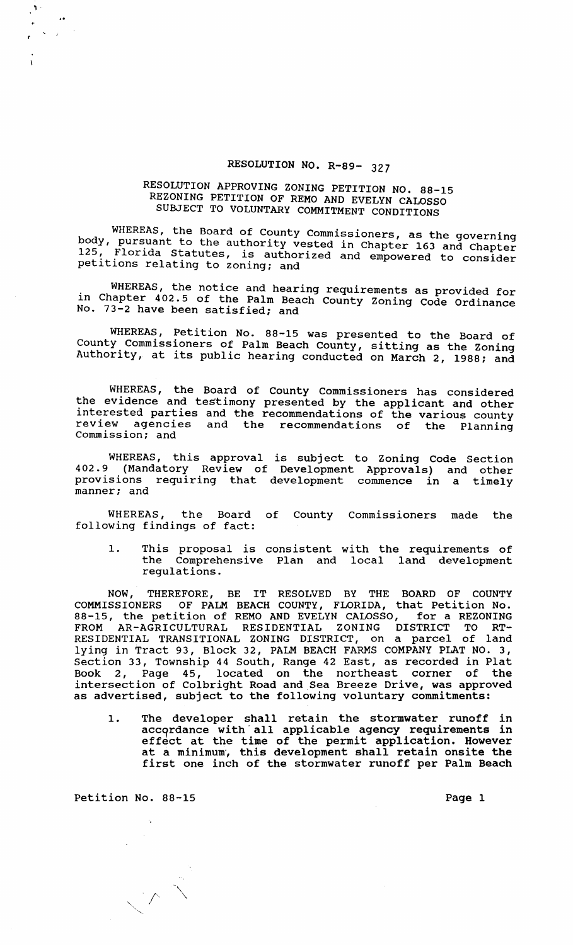## RESOLUTION NO. R-89- 327

## RESOLUTION APPROVING ZONING PETITION NO. 88-15 REZONING PETITION OF REMO AND EVELYN CALOSSO SUBJECT TO VOLUNTARY COMMITMENT CONDITIONS

WHEREAS, the Board of County Commissioners, as the governing body, pursuant to the authority vested in Chapter 163 and Chapter<br>125. Florida Statutes, is authorized and omnovance to cancilly Florida Statutes, is authorized and empowered to consider petitions relating to zoning: and

WHEREAS, the notice and hearing requirements as provided for in Chapter 402.5 of the Palm Beach County Zoning Code Ordinance No. 73-2 have been satisfied; and

WHEREAS, Petition No. 88-15 was presented to the Board of County Commissioners of Palm Beach County, sitting as the Zoning Authority, at its public hearing conducted on March 2, 1988: and

WHEREAS, the Board of County Commissioners has considered the evidence and testimony presented by the applicant and other interested parties and the recommendations of the various county review agencies and the recommendations of the Planning commission: and

WHEREAS, this approval is subject to Zoning Code Section 402.9 (Mandatory Review of Development Approvals) and other provisions requiring that development commence in a timely manner: and

WHEREAS, the Board of County Commissioners made the following findings of fact:

1. This proposal is consistent with the requirements of the Comprehensive Plan and local land development regulations.

NOW, THEREFORE, BE IT RESOLVED BY THE BOARD OF COUNTY COMMISSIONERS OF PALM BEACH COUNTY, FLORIDA, that Petition No. 88-15, the petition of REMO AND EVELYN CALOSSO, for a REZONING FROM AR-AGRICULTURAL RESIDENTIAL ZONING DISTRICT TO RT-RESIDENTIAL TRANSITIONAL ZONING DISTRICT, on a parcel of land lying in Tract 93, Block 32, PALM BEACH FARMS COMPANY PLAT NO. 3, section 33, Township 44 South, Range 42 East, as recorded in Plat Book 2, Page 45, located on the northeast corner of the intersection of Colbright Road and Sea Breeze Drive, was approved as advertised, subject to the following voluntary commitments:

1. The developer shall retain the stormwater runoff in accqrdance with' all applicable agency requirements in abodyinance with air appricable agency requirements in<br>effect at the time of the permit application. However at a minimum', this development shall retain onsite the first one inch of the stormwater runoff per Palm Beach

Petition No. 88-15 Page 1

 $\diagdown$ 

, "

..